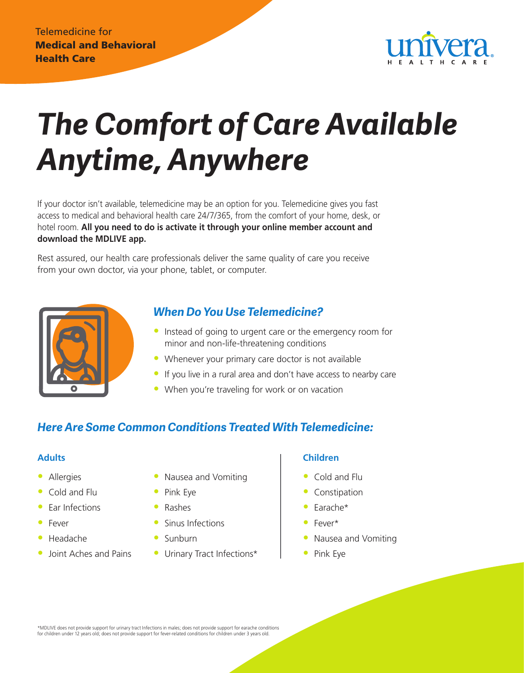

# *The Comfort of Care Available Anytime, Anywhere*

If your doctor isn't available, telemedicine may be an option for you. Telemedicine gives you fast access to medical and behavioral health care 24/7/365, from the comfort of your home, desk, or hotel room. **All you need to do is activate it through your online member account and download the MDLIVE app.** 

Rest assured, our health care professionals deliver the same quality of care you receive from your own doctor, via your phone, tablet, or computer.



# *When Do You Use Telemedicine?*

- Instead of going to urgent care or the emergency room for minor and non-life-threatening conditions
- Whenever your primary care doctor is not available
- If you live in a rural area and don't have access to nearby care
- When you're traveling for work or on vacation

# *Here Are Some Common Conditions Treated With Telemedicine:*

#### **Adults**

- Allergies
- Cold and Flu
- **Far Infections**
- **Fever**
- Headache
- Joint Aches and Pains
- Nausea and Vomiting
- Pink Eye
- Rashes
- Sinus Infections
- Sunburn
- Urinary Tract Infections\*

#### **Children**

- Cold and Flu
- **Constipation**
- Earache\*
- Fever\*
- Nausea and Vomiting
- Pink Eye

\*MDLIVE does not provide support for urinary tract Infections in males; does not provide support for earache conditions for children under 12 years old; does not provide support for fever-related conditions for children under 3 years old.